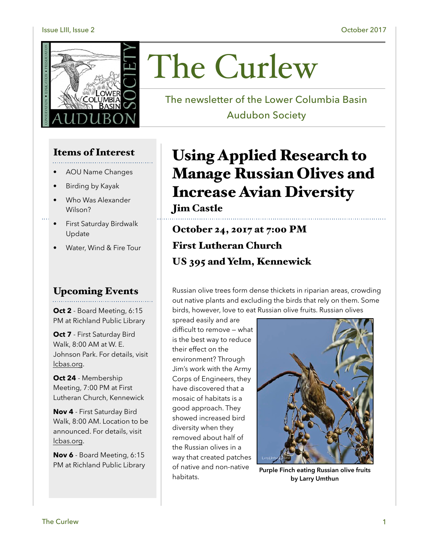#### Issue LIII, Issue 2 October 2017



# Items of Interest

- AOU Name Changes
- Birding by Kayak
- Who Was Alexander Wilson?
- First Saturday Birdwalk Update
- Water, Wind & Fire Tour

## Upcoming Events

**Oct 2** - Board Meeting, 6:15 PM at Richland Public Library

**Oct 7** - First Saturday Bird Walk, 8:00 AM at W. E. Johnson Park. For details, visit [lcbas.org](http://lcbas.org).

**Oct 24** - Membership Meeting, 7:00 PM at First Lutheran Church, Kennewick

**Nov 4** - First Saturday Bird Walk, 8:00 AM. Location to be announced. For details, visit [lcbas.org](http://lcbas.org).

**Nov 6** - Board Meeting, 6:15 PM at Richland Public Library

# The Curlew

The newsletter of the Lower Columbia Basin Audubon Society

# Using Applied Research to Manage Russian Olives and Increase Avian Diversity

# Jim Castle

October 24, 2017 at 7:00 PM First Lutheran Church US 395 and Yelm, Kennewick

Russian olive trees form dense thickets in riparian areas, crowding out native plants and excluding the birds that rely on them. Some birds, however, love to eat Russian olive fruits. Russian olives

spread easily and are difficult to remove — what is the best way to reduce their effect on the environment? Through Jim's work with the Army Corps of Engineers, they have discovered that a mosaic of habitats is a good approach. They showed increased bird diversity when they removed about half of the Russian olives in a way that created patches of native and non-native habitats.



**Purple Finch eating Russian olive fruits by Larry Umthun**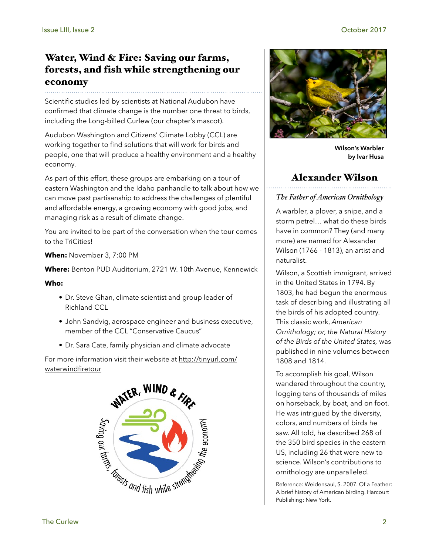# Water, Wind & Fire: Saving our farms, forests, and fish while strengthening our economy

Scientific studies led by scientists at National Audubon have confirmed that climate change is the number one threat to birds, including the Long-billed Curlew (our chapter's mascot).

Audubon Washington and Citizens' Climate Lobby (CCL) are working together to find solutions that will work for birds and people, one that will produce a healthy environment and a healthy economy.

As part of this effort, these groups are embarking on a tour of eastern Washington and the Idaho panhandle to talk about how we can move past partisanship to address the challenges of plentiful and affordable energy, a growing economy with good jobs, and managing risk as a result of climate change.

You are invited to be part of the conversation when the tour comes to the TriCities!

**When:** November 3, 7:00 PM

**Where:** Benton PUD Auditorium, 2721 W. 10th Avenue, Kennewick

#### **Who:**

- Dr. Steve Ghan, climate scientist and group leader of Richland CCL
- John Sandvig, aerospace engineer and business executive, member of the CCL "Conservative Caucus"
- Dr. Sara Cate, family physician and climate advocate

For more information visit their website at [http://tinyurl.com/](http://tinyurl.com/waterwindfiretour) [waterwindfiretour](http://tinyurl.com/waterwindfiretour)





**Wilson's Warbler by Ivar Husa** 

## Alexander Wilson

#### *The Father of American Ornithology*

A warbler, a plover, a snipe, and a storm petrel… what do these birds have in common? They (and many more) are named for Alexander Wilson (1766 - 1813), an artist and naturalist.

Wilson, a Scottish immigrant, arrived in the United States in 1794. By 1803, he had begun the enormous task of describing and illustrating all the birds of his adopted country. This classic work, *American Ornithology; or, the Natural History of the Birds of the United States,* was published in nine volumes between 1808 and 1814.

To accomplish his goal, Wilson wandered throughout the country, logging tens of thousands of miles on horseback, by boat, and on foot. He was intrigued by the diversity, colors, and numbers of birds he saw. All told, he described 268 of the 350 bird species in the eastern US, including 26 that were new to science. Wilson's contributions to ornithology are unparalleled.

Reference: Weidensaul, S. 2007. Of a Feather: A brief history of American birding. Harcourt Publishing: New York.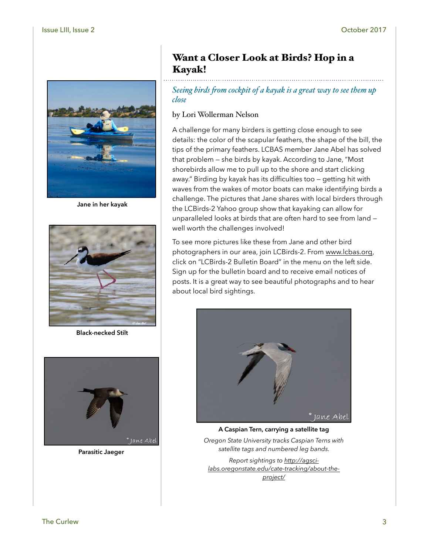

**Jane in her kayak**



**Black-necked Stilt**



**Parasitic Jaeger**

# Want a Closer Look at Birds? Hop in a Kayak!

*Seeing birds fom cockpit of a kayak is a great way to see them up close*

#### by Lori Wollerman Nelson

A challenge for many birders is getting close enough to see details: the color of the scapular feathers, the shape of the bill, the tips of the primary feathers. LCBAS member Jane Abel has solved that problem — she birds by kayak. According to Jane, "Most shorebirds allow me to pull up to the shore and start clicking away." Birding by kayak has its difficulties too — getting hit with waves from the wakes of motor boats can make identifying birds a challenge. The pictures that Jane shares with local birders through the LCBirds-2 Yahoo group show that kayaking can allow for unparalleled looks at birds that are often hard to see from land well worth the challenges involved!

To see more pictures like these from Jane and other bird photographers in our area, join LCBirds-2. From [www.lcbas.org,](http://www.lcbas.org) click on "LCBirds-2 Bulletin Board" in the menu on the left side. Sign up for the bulletin board and to receive email notices of posts. It is a great way to see beautiful photographs and to hear about local bird sightings.



**A Caspian Tern, carrying a satellite tag** 

*Oregon State University tracks Caspian Terns with satellite tags and numbered leg bands.* 

*Report sightings to [http://agsci](http://agsci-labs.oregonstate.edu/cate-tracking/about-the-project/)[labs.oregonstate.edu/cate-tracking/about-the](http://agsci-labs.oregonstate.edu/cate-tracking/about-the-project/)[project/](http://agsci-labs.oregonstate.edu/cate-tracking/about-the-project/)*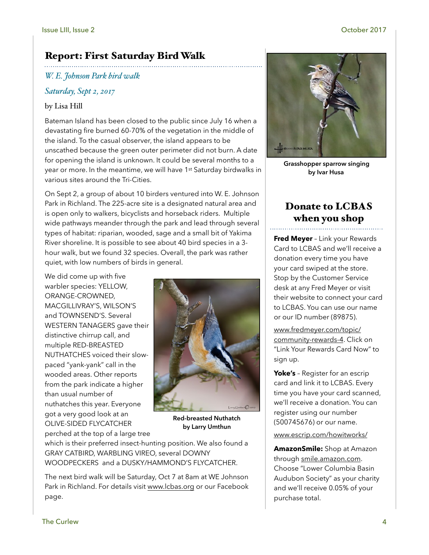# Report: First Saturday Bird Walk

*W. E. Johnson Park bird walk*

#### *Saturday, Sept 2, 2017*

#### by Lisa Hill

Bateman Island has been closed to the public since July 16 when a devastating fire burned 60-70% of the vegetation in the middle of the island. To the casual observer, the island appears to be unscathed because the green outer perimeter did not burn. A date for opening the island is unknown. It could be several months to a year or more. In the meantime, we will have 1<sup>st</sup> Saturday birdwalks in various sites around the Tri-Cities.

On Sept 2, a group of about 10 birders ventured into W. E. Johnson Park in Richland. The 225-acre site is a designated natural area and is open only to walkers, bicyclists and horseback riders. Multiple wide pathways meander through the park and lead through several types of habitat: riparian, wooded, sage and a small bit of Yakima River shoreline. It is possible to see about 40 bird species in a 3 hour walk, but we found 32 species. Overall, the park was rather quiet, with low numbers of birds in general.

We did come up with five warbler species: YELLOW, ORANGE-CROWNED, MACGILLIVRAY'S, WILSON'S and TOWNSEND'S. Several WESTERN TANAGERS gave their distinctive chirrup call, and multiple RED-BREASTED NUTHATCHES voiced their slowpaced "yank-yank" call in the wooded areas. Other reports from the park indicate a higher than usual number of nuthatches this year. Everyone got a very good look at an OLIVE-SIDED FLYCATCHER perched at the top of a large tree



**Red-breasted Nuthatch by Larry Umthun**

which is their preferred insect-hunting position. We also found a GRAY CATBIRD, WARBLING VIREO, several DOWNY WOODPECKERS and a DUSKY/HAMMOND'S FLYCATCHER.

The next bird walk will be Saturday, Oct 7 at 8am at WE Johnson Park in Richland. For details visit [www.lcbas.org](http://www.lcbas.org) or our Facebook page.



**Grasshopper sparrow singing by Ivar Husa**

# Donate to LCBAS when you shop

**Fred Meyer** – Link your Rewards Card to LCBAS and we'll receive a donation every time you have your card swiped at the store. Stop by the Customer Service desk at any Fred Meyer or visit their website to connect your card to LCBAS. You can use our name or our ID number (89875).

[www.fredmeyer.com/topic/](http://www.fredmeyer.com/topic/community-rewards-4) [community-rewards-4](http://www.fredmeyer.com/topic/community-rewards-4). Click on "Link Your Rewards Card Now" to sign up.

**Yoke's** – Register for an escrip card and link it to LCBAS. Every time you have your card scanned, we'll receive a donation. You can register using our number (500745676) or our name.

#### [www.escrip.com/howitworks/](http://www.escrip.com/howitworks/)

**AmazonSmile:** Shop at Amazon through [smile.amazon.com.](http://smile.amazon.com) Choose "Lower Columbia Basin Audubon Society" as your charity and we'll receive 0.05% of your purchase total.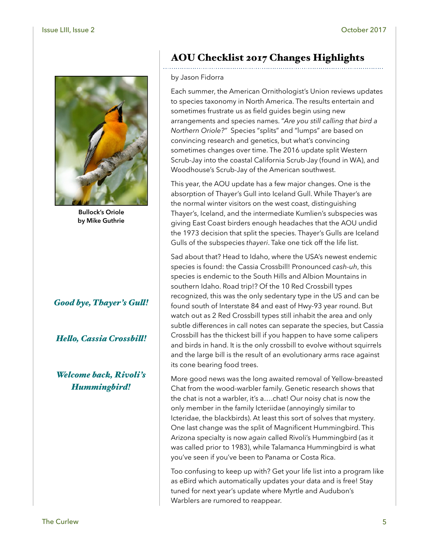

**Bullock's Oriole by Mike Guthrie**

#### *Good bye, Thayer's Gul!*

#### *Helo, Cassia Crossbil!*

#### *Welcome back, Rivoli's Hummingbird!*

# AOU Checklist 2017 Changes Highlights

#### by Jason Fidorra

Each summer, the American Ornithologist's Union reviews updates to species taxonomy in North America. The results entertain and sometimes frustrate us as field guides begin using new arrangements and species names. "*Are you still calling that bird a Northern Oriole?"* Species "splits" and "lumps" are based on convincing research and genetics, but what's convincing sometimes changes over time. The 2016 update split Western Scrub-Jay into the coastal California Scrub-Jay (found in WA), and Woodhouse's Scrub-Jay of the American southwest.

This year, the AOU update has a few major changes. One is the absorption of Thayer's Gull into Iceland Gull. While Thayer's are the normal winter visitors on the west coast, distinguishing Thayer's, Iceland, and the intermediate Kumlien's subspecies was giving East Coast birders enough headaches that the AOU undid the 1973 decision that split the species. Thayer's Gulls are Iceland Gulls of the subspecies *thayeri*. Take one tick off the life list.

Sad about that? Head to Idaho, where the USA's newest endemic species is found: the Cassia Crossbill! Pronounced *cash-uh*, this species is endemic to the South Hills and Albion Mountains in southern Idaho. Road trip!? Of the 10 Red Crossbill types recognized, this was the only sedentary type in the US and can be found south of Interstate 84 and east of Hwy-93 year round. But watch out as 2 Red Crossbill types still inhabit the area and only subtle differences in call notes can separate the species, but Cassia Crossbill has the thickest bill if you happen to have some calipers and birds in hand. It is the only crossbill to evolve without squirrels and the large bill is the result of an evolutionary arms race against its cone bearing food trees.

More good news was the long awaited removal of Yellow-breasted Chat from the wood-warbler family. Genetic research shows that the chat is not a warbler, it's a….chat! Our noisy chat is now the only member in the family Icteriidae (annoyingly similar to Icteridae, the blackbirds). At least this sort of solves that mystery. One last change was the split of Magnificent Hummingbird. This Arizona specialty is now *again* called Rivoli's Hummingbird (as it was called prior to 1983), while Talamanca Hummingbird is what you've seen if you've been to Panama or Costa Rica.

Too confusing to keep up with? Get your life list into a program like as eBird which automatically updates your data and is free! Stay tuned for next year's update where Myrtle and Audubon's Warblers are rumored to reappear.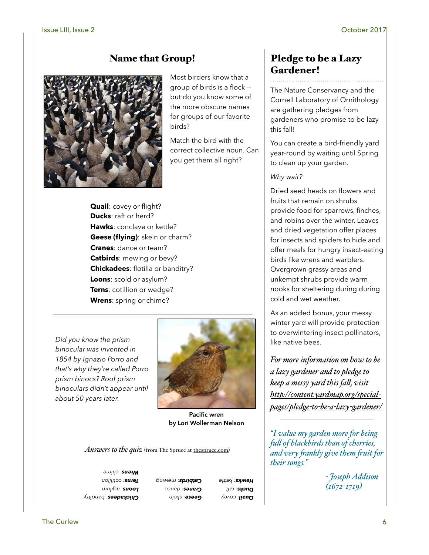# Name that Group!



Most birders know that a group of birds is a flock but do you know some of the more obscure names for groups of our favorite birds?

Match the bird with the correct collective noun. Can you get them all right?

**Quail**: covey or flight? **Ducks**: raft or herd? **Hawks**: conclave or kettle? **Geese (flying)**: skein or charm? **Cranes**: dance or team? **Catbirds**: mewing or bevy? **Chickadees**: flotilla or banditry? **Loons**: scold or asylum? **Terns**: cotillion or wedge? **Wrens**: spring or chime?

*Did you know the prism binocular was invented in 1854 by Ignazio Porro and that's why they're called Porro prism binocs? Roof prism binoculars didn't appear until about 50 years later.*



**Pacific wren by Lori Wollerman Nelson**

*Answers to the quiz* (from The Spruce at the spruce.com)

*: banditry Chickadees : asylum Loons : cotillion Terns : chime Wrens*

*: skein Geese : dance Cranes : mewing Catbirds*

*<u>cuail</u>: covey* **Ducks**: raft *: kettle Hawks*

# Pledge to be a Lazy Gardener!

The Nature Conservancy and the Cornell Laboratory of Ornithology are gathering pledges from gardeners who promise to be lazy this fall!

You can create a bird-friendly yard year-round by waiting until Spring to clean up your garden.

#### *Why wait?*

Dried seed heads on flowers and fruits that remain on shrubs provide food for sparrows, finches, and robins over the winter. Leaves and dried vegetation offer places for insects and spiders to hide and offer meals for hungry insect-eating birds like wrens and warblers. Overgrown grassy areas and unkempt shrubs provide warm nooks for sheltering during during cold and wet weather.

As an added bonus, your messy winter yard will provide protection to overwintering insect pollinators, like native bees.

*For more information on how to be a lazy gardener and to pledge to keep a messy yard this fal, visit [http://content.yardmap.org/special](http://content.yardmap.org/special-pages/pledge-to-be-a-lazy-gardener/)[pages/pledge](http://content.yardmap.org/special-pages/pledge-to-be-a-lazy-gardener/)-to-be-a-lazy-gardener/*

*"I value my garden more for being ful of blackbirds than of cherries, and very fankly give them fuit for their songs."*

> *- Joseph Addison (1672-1719)*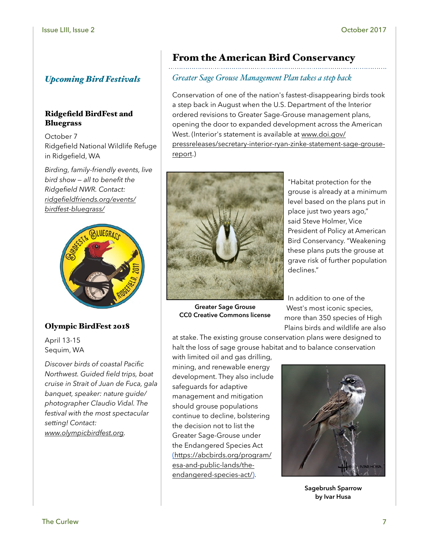# *Upcoming Bird Festivals*

#### Ridgefield BirdFest and Bluegrass

October 7 Ridgefield National Wildlife Refuge in Ridgefield, WA

*Birding, family-friendly events, live bird show — all to benefit the Ridgefield NWR. Contact: [ridgefieldfriends.org/events/](http://ridgefieldfriends.org/events/birdfest-bluegrass/) [birdfest-bluegrass/](http://ridgefieldfriends.org/events/birdfest-bluegrass/)*



## Olympic BirdFest 2018

April 13-15 Sequim, WA

*Discover birds of coastal Pacific Northwest. Guided field trips, boat cruise in Strait of Juan de Fuca, gala banquet, speaker: nature guide/ photographer Claudio Vidal. The festival with the most spectacular setting! Contact: [www.olympicbirdfest.org.](http://www.olympicbirdfest.org)*

# From the American Bird Conservancy

# *Greater Sage Grouse Management Plan takes a step back*

Conservation of one of the nation's fastest-disappearing birds took a step back in August when the U.S. Department of the Interior ordered revisions to Greater Sage-Grouse management plans, opening the door to expanded development across the American West. (Interior's statement is available at [www.doi.gov/](http://www.doi.gov/pressreleases/secretary-interior-ryan-zinke-statement-sage-grouse-report) [pressreleases/secretary-interior-ryan-zinke-statement-sage-grouse](http://www.doi.gov/pressreleases/secretary-interior-ryan-zinke-statement-sage-grouse-report)[report](http://www.doi.gov/pressreleases/secretary-interior-ryan-zinke-statement-sage-grouse-report).)



**Greater Sage Grouse CC0 Creative Commons license**

"Habitat protection for the grouse is already at a minimum level based on the plans put in place just two years ago," said [Steve Holmer,](mailto:sholmer@abcbirds.org) Vice President of Policy at American Bird Conservancy. "Weakening these plans puts the grouse at grave risk of further population declines."

In addition to one of the West's most iconic species, more than 350 species of High Plains birds and wildlife are also

at stake. The existing grouse conservation plans were designed to halt the loss of sage grouse habitat and to balance conservation

with limited oil and gas drilling, mining, and renewable energy development. They also include safeguards for adaptive management and mitigation should grouse populations continue to decline, bolstering the decision not to list the Greater Sage-Grouse under the Endangered Species Act [\(https://abcbirds.org/program/](https://abcbirds.org/program/esa-and-public-lands/the-endangered-species-act/) [esa-and-public-lands/the](https://abcbirds.org/program/esa-and-public-lands/the-endangered-species-act/)[endangered-species-act/](https://abcbirds.org/program/esa-and-public-lands/the-endangered-species-act/)).



**Sagebrush Sparrow by Ivar Husa**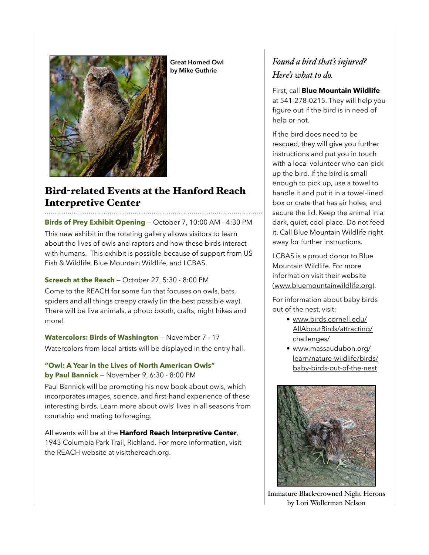

**Great Horned Owl by Mike Guthrie**

# Bird-related Events at the Hanford Reach Interpretive Center

**Birds of Prey Exhibit Opening** — October 7, 10:00 AM - 4:30 PM This new exhibit in the rotating gallery allows visitors to learn about the lives of owls and raptors and how these birds interact with humans. This exhibit is possible because of support from US Fish & Wildlife, Blue Mountain Wildlife, and LCBAS.

**Screech at the Reach** — October 27, 5:30 - 8:00 PM Come to the REACH for some fun that focuses on owls, bats, spiders and all things creepy crawly (in the best possible way). There will be live animals, a photo booth, crafts, night hikes and more!

**Watercolors: Birds of Washington** — November 7 - 17 Watercolors from local artists will be displayed in the entry hall.

**"Owl: A Year in the Lives of North American Owls" by Paul Bannick** — November 9, 6:30 - 8:00 PM

Paul Bannick will be promoting his new book about owls, which incorporates images, science, and first-hand experience of these interesting birds. Learn more about owls' lives in all seasons from courtship and mating to foraging.

All events will be at the **Hanford Reach Interpretive Center**, 1943 Columbia Park Trail, Richland. For more information, visit the REACH website at [visitthereach.org.](http://visitthereach.org)

# *Found a bird that's injured? Here's what to do.*

First, call **Blue Mountain Wildlife** at 541-278-0215. They will help you figure out if the bird is in need of help or not.

If the bird does need to be rescued, they will give you further instructions and put you in touch with a local volunteer who can pick up the bird. If the bird is small enough to pick up, use a towel to handle it and put it in a towel-lined box or crate that has air holes, and secure the lid. Keep the animal in a dark, quiet, cool place. Do not feed it. Call Blue Mountain Wildlife right away for further instructions.

LCBAS is a proud donor to Blue Mountain Wildlife. For more information visit their website ([www.bluemountainwildlife.org](http://www.bluemountainwildlife.org)).

For information about baby birds out of the nest, visit:

- [www.birds.cornell.edu/](http://www.birds.cornell.edu/AllAboutBirds/attracting/challenges/) [AllAboutBirds/attracting/](http://www.birds.cornell.edu/AllAboutBirds/attracting/challenges/) [challenges/](http://www.birds.cornell.edu/AllAboutBirds/attracting/challenges/)
- [www.massaudubon.org/](http://www.massaudubon.org/learn/nature-wildlife/birds/baby-birds-out-of-the-nest) [learn/nature-wildlife/birds/](http://www.massaudubon.org/learn/nature-wildlife/birds/baby-birds-out-of-the-nest) [baby-birds-out-of-the-nest](http://www.massaudubon.org/learn/nature-wildlife/birds/baby-birds-out-of-the-nest)



Immature Black-crowned Night Herons by Lori Wollerman Nelson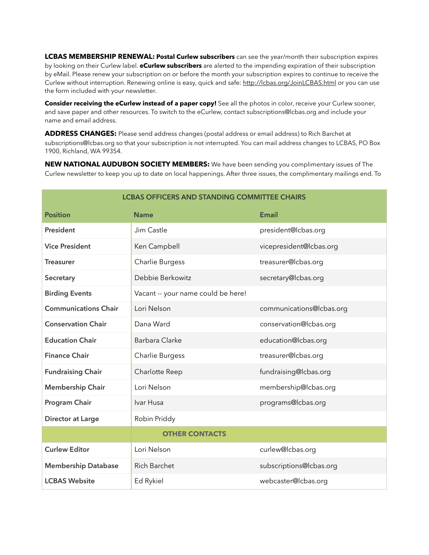**LCBAS MEMBERSHIP RENEWAL: Postal Curlew subscribers** can see the year/month their subscription expires by looking on their Curlew label. **eCurlew subscribers** are alerted to the impending expiration of their subscription by eMail. Please renew your subscription on or before the month your subscription expires to continue to receive the Curlew without interruption. Renewing online is easy, quick and safe: <http://lcbas.org/JoinLCBAS.html> or you can use the form included with your newsletter.

**Consider receiving the eCurlew instead of a paper copy!** See all the photos in color, receive your Curlew sooner, and save paper and other resources. To switch to the eCurlew, contact subscriptions@lcbas.org and include your name and email address.

**ADDRESS CHANGES:** Please send address changes (postal address or email address) to Rich Barchet at subscriptions@lcbas.org so that your subscription is not interrupted. You can mail address changes to LCBAS, PO Box 1900, Richland, WA 99354.

**NEW NATIONAL AUDUBON SOCIETY MEMBERS:** We have been sending you complimentary issues of The Curlew newsletter to keep you up to date on local happenings. After three issues, the complimentary mailings end. To

| <b>LCBAS OFFICERS AND STANDING COMMITTEE CHAIRS</b> |                                    |                          |  |  |
|-----------------------------------------------------|------------------------------------|--------------------------|--|--|
| <b>Position</b>                                     | <b>Name</b>                        | <b>Email</b>             |  |  |
| President                                           | Jim Castle                         | president@lcbas.org      |  |  |
| <b>Vice President</b>                               | Ken Campbell                       | vicepresident@lcbas.org  |  |  |
| <b>Treasurer</b>                                    | Charlie Burgess                    | treasurer@lcbas.org      |  |  |
| Secretary                                           | Debbie Berkowitz                   | secretary@lcbas.org      |  |  |
| <b>Birding Events</b>                               | Vacant -- your name could be here! |                          |  |  |
| <b>Communications Chair</b>                         | Lori Nelson                        | communications@lcbas.org |  |  |
| <b>Conservation Chair</b>                           | Dana Ward                          | conservation@lcbas.org   |  |  |
| <b>Education Chair</b>                              | <b>Barbara Clarke</b>              | education@lcbas.org      |  |  |
| <b>Finance Chair</b>                                | Charlie Burgess                    | treasurer@lcbas.org      |  |  |
| <b>Fundraising Chair</b>                            | Charlotte Reep                     | fundraising@lcbas.org    |  |  |
| <b>Membership Chair</b>                             | Lori Nelson                        | membership@lcbas.org     |  |  |
| Program Chair                                       | Ivar Husa                          | programs@lcbas.org       |  |  |
| <b>Director at Large</b>                            | Robin Priddy                       |                          |  |  |
|                                                     | <b>OTHER CONTACTS</b>              |                          |  |  |
| <b>Curlew Editor</b>                                | Lori Nelson                        | curlew@lcbas.org         |  |  |
| <b>Membership Database</b>                          | <b>Rich Barchet</b>                | subscriptions@lcbas.org  |  |  |
| <b>LCBAS Website</b>                                | Ed Rykiel                          | webcaster@lcbas.org      |  |  |